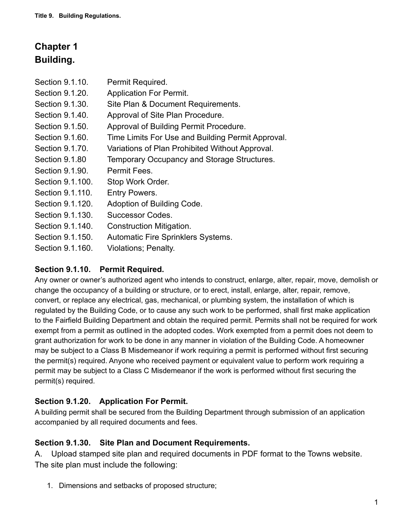# **Chapter 1 Building.**

| Section 9.1.10.       | Permit Required.                                  |
|-----------------------|---------------------------------------------------|
| Section 9.1.20.       | <b>Application For Permit.</b>                    |
| Section 9.1.30.       | Site Plan & Document Requirements.                |
| Section 9.1.40.       | Approval of Site Plan Procedure.                  |
| Section 9.1.50.       | Approval of Building Permit Procedure.            |
| Section 9.1.60.       | Time Limits For Use and Building Permit Approval. |
| Section 9.1.70.       | Variations of Plan Prohibited Without Approval.   |
| <b>Section 9.1.80</b> | Temporary Occupancy and Storage Structures.       |
| Section 9.1.90.       | Permit Fees.                                      |
| Section 9.1.100.      | Stop Work Order.                                  |
| Section 9.1.110.      | Entry Powers.                                     |
| Section 9.1.120.      | Adoption of Building Code.                        |
| Section 9.1.130.      | Successor Codes.                                  |
| Section 9.1.140.      | Construction Mitigation.                          |
| Section 9.1.150.      | <b>Automatic Fire Sprinklers Systems.</b>         |
| Section 9.1.160.      | Violations; Penalty.                              |

## **Section 9.1.10. Permit Required.**

Any owner or owner's authorized agent who intends to construct, enlarge, alter, repair, move, demolish or change the occupancy of a building or structure, or to erect, install, enlarge, alter, repair, remove, convert, or replace any electrical, gas, mechanical, or plumbing system, the installation of which is regulated by the Building Code, or to cause any such work to be performed, shall first make application to the Fairfield Building Department and obtain the required permit. Permits shall not be required for work exempt from a permit as outlined in the adopted codes. Work exempted from a permit does not deem to grant authorization for work to be done in any manner in violation of the Building Code. A homeowner may be subject to a Class B Misdemeanor if work requiring a permit is performed without first securing the permit(s) required. Anyone who received payment or equivalent value to perform work requiring a permit may be subject to a Class C Misdemeanor if the work is performed without first securing the permit(s) required.

#### **Section 9.1.20. Application For Permit.**

A building permit shall be secured from the Building Department through submission of an application accompanied by all required documents and fees.

#### **Section 9.1.30. Site Plan and Document Requirements.**

A. Upload stamped site plan and required documents in PDF format to the Towns website. The site plan must include the following:

1. Dimensions and setbacks of proposed structure;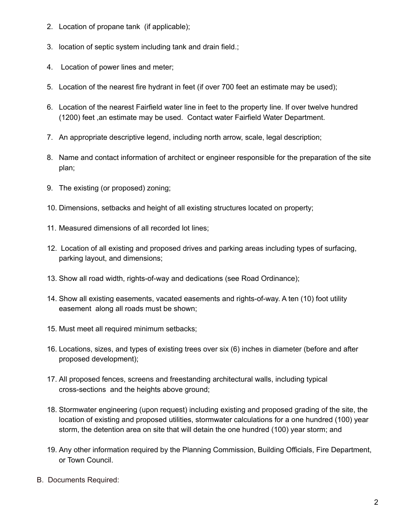- 2. Location of propane tank (if applicable);
- 3. location of septic system including tank and drain field.;
- 4. Location of power lines and meter;
- 5. Location of the nearest fire hydrant in feet (if over 700 feet an estimate may be used);
- 6. Location of the nearest Fairfield water line in feet to the property line. If over twelve hundred (1200) feet ,an estimate may be used. Contact water Fairfield Water Department.
- 7. An appropriate descriptive legend, including north arrow, scale, legal description;
- 8. Name and contact information of architect or engineer responsible for the preparation of the site plan;
- 9. The existing (or proposed) zoning;
- 10. Dimensions, setbacks and height of all existing structures located on property;
- 11. Measured dimensions of all recorded lot lines;
- 12. Location of all existing and proposed drives and parking areas including types of surfacing, parking layout, and dimensions;
- 13. Show all road width, rights-of-way and dedications (see Road Ordinance);
- 14. Show all existing easements, vacated easements and rights-of-way. A ten (10) foot utility easement along all roads must be shown;
- 15. Must meet all required minimum setbacks;
- 16. Locations, sizes, and types of existing trees over six (6) inches in diameter (before and after proposed development);
- 17. All proposed fences, screens and freestanding architectural walls, including typical cross-sections and the heights above ground;
- 18. Stormwater engineering (upon request) including existing and proposed grading of the site, the location of existing and proposed utilities, stormwater calculations for a one hundred (100) year storm, the detention area on site that will detain the one hundred (100) year storm; and
- 19. Any other information required by the Planning Commission, Building Officials, Fire Department, or Town Council.
- B. Documents Required: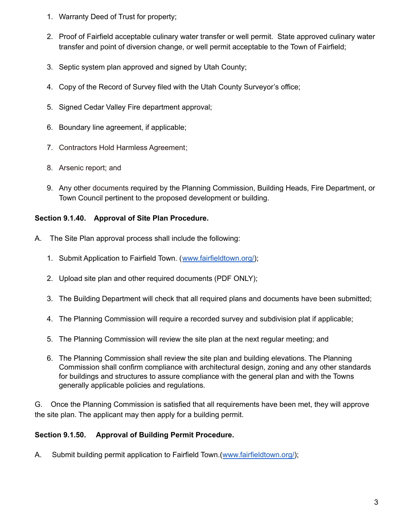- 1. Warranty Deed of Trust for property;
- 2. Proof of Fairfield acceptable culinary water transfer or well permit. State approved culinary water transfer and point of diversion change, or well permit acceptable to the Town of Fairfield;
- 3. Septic system plan approved and signed by Utah County;
- 4. Copy of the Record of Survey filed with the Utah County Surveyor's office;
- 5. Signed Cedar Valley Fire department approval;
- 6. Boundary line agreement, if applicable;
- 7. [Contractors](https://www.fairfieldtown.org/contractors-hold-harmless-agreement) Hold Harmless Agreement;
- 8. Arsenic report; and
- 9. Any other documents required by the Planning Commission, Building Heads, Fire Department, or Town Council pertinent to the proposed development or building.

#### **Section 9.1.40. Approval of Site Plan Procedure.**

- A. The Site Plan approval process shall include the following:
	- 1. Submit Application to Fairfield Town. ([www.fairfieldtown.org/\)](http://www.fairfieldtown.org/);
	- 2. Upload site plan and other required documents (PDF ONLY);
	- 3. The Building Department will check that all required plans and documents have been submitted;
	- 4. The Planning Commission will require a recorded survey and subdivision plat if applicable;
	- 5. The Planning Commission will review the site plan at the next regular meeting; and
	- 6. The Planning Commission shall review the site plan and building elevations. The Planning Commission shall confirm compliance with architectural design, zoning and any other standards for buildings and structures to assure compliance with the general plan and with the Towns generally applicable policies and regulations.

G. Once the Planning Commission is satisfied that all requirements have been met, they will approve the site plan. The applicant may then apply for a building permit.

#### **Section 9.1.50. Approval of Building Permit Procedure.**

A. Submit building permit application to Fairfield Town.([www.fairfieldtown.org/\)](http://www.fairfieldtown.org/);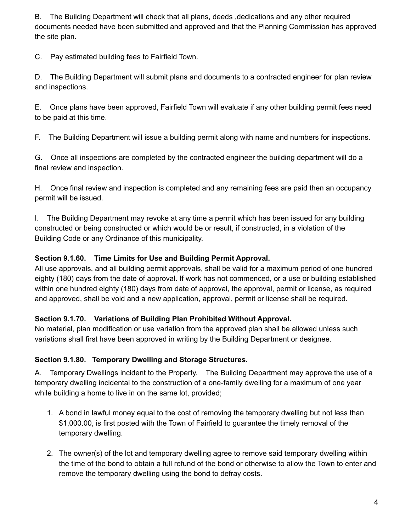B. The Building Department will check that all plans, deeds ,dedications and any other required documents needed have been submitted and approved and that the Planning Commission has approved the site plan.

C. Pay estimated building fees to Fairfield Town.

D. The Building Department will submit plans and documents to a contracted engineer for plan review and inspections.

E. Once plans have been approved, Fairfield Town will evaluate if any other building permit fees need to be paid at this time.

F. The Building Department will issue a building permit along with name and numbers for inspections.

G. Once all inspections are completed by the contracted engineer the building department will do a final review and inspection.

H. Once final review and inspection is completed and any remaining fees are paid then an occupancy permit will be issued.

I. The Building Department may revoke at any time a permit which has been issued for any building constructed or being constructed or which would be or result, if constructed, in a violation of the Building Code or any Ordinance of this municipality.

## **Section 9.1.60. Time Limits for Use and Building Permit Approval.**

All use approvals, and all building permit approvals, shall be valid for a maximum period of one hundred eighty (180) days from the date of approval. If work has not commenced, or a use or building established within one hundred eighty (180) days from date of approval, the approval, permit or license, as required and approved, shall be void and a new application, approval, permit or license shall be required.

#### **Section 9.1.70. Variations of Building Plan Prohibited Without Approval.**

No material, plan modification or use variation from the approved plan shall be allowed unless such variations shall first have been approved in writing by the Building Department or designee.

## **Section 9.1.80. Temporary Dwelling and Storage Structures.**

A. Temporary Dwellings incident to the Property. The Building Department may approve the use of a temporary dwelling incidental to the construction of a one-family dwelling for a maximum of one year while building a home to live in on the same lot, provided;

- 1. A bond in lawful money equal to the cost of removing the temporary dwelling but not less than \$1,000.00, is first posted with the Town of Fairfield to guarantee the timely removal of the temporary dwelling.
- 2. The owner(s) of the lot and temporary dwelling agree to remove said temporary dwelling within the time of the bond to obtain a full refund of the bond or otherwise to allow the Town to enter and remove the temporary dwelling using the bond to defray costs.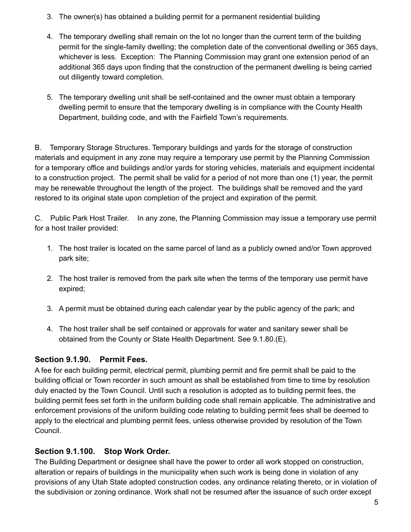- 3. The owner(s) has obtained a building permit for a permanent residential building
- 4. The temporary dwelling shall remain on the lot no longer than the current term of the building permit for the single-family dwelling; the completion date of the conventional dwelling or 365 days, whichever is less. Exception: The Planning Commission may grant one extension period of an additional 365 days upon finding that the construction of the permanent dwelling is being carried out diligently toward completion.
- 5. The temporary dwelling unit shall be self-contained and the owner must obtain a temporary dwelling permit to ensure that the temporary dwelling is in compliance with the County Health Department, building code, and with the Fairfield Town's requirements.

B. Temporary Storage Structures. Temporary buildings and yards for the storage of construction materials and equipment in any zone may require a temporary use permit by the Planning Commission for a temporary office and buildings and/or yards for storing vehicles, materials and equipment incidental to a construction project. The permit shall be valid for a period of not more than one (1) year, the permit may be renewable throughout the length of the project. The buildings shall be removed and the yard restored to its original state upon completion of the project and expiration of the permit.

C. Public Park Host Trailer. In any zone, the Planning Commission may issue a temporary use permit for a host trailer provided:

- 1. The host trailer is located on the same parcel of land as a publicly owned and/or Town approved park site;
- 2. The host trailer is removed from the park site when the terms of the temporary use permit have expired;
- 3. A permit must be obtained during each calendar year by the public agency of the park; and
- 4. The host trailer shall be self contained or approvals for water and sanitary sewer shall be obtained from the County or State Health Department. See 9.1.80.(E).

#### **Section 9.1.90. Permit Fees.**

A fee for each building permit, electrical permit, plumbing permit and fire permit shall be paid to the building official or Town recorder in such amount as shall be established from time to time by resolution duly enacted by the Town Council. Until such a resolution is adopted as to building permit fees, the building permit fees set forth in the uniform building code shall remain applicable. The administrative and enforcement provisions of the uniform building code relating to building permit fees shall be deemed to apply to the electrical and plumbing permit fees, unless otherwise provided by resolution of the Town Council.

#### **Section 9.1.100. Stop Work Order.**

The Building Department or designee shall have the power to order all work stopped on construction, alteration or repairs of buildings in the municipality when such work is being done in violation of any provisions of any Utah State adopted construction codes, any ordinance relating thereto, or in violation of the subdivision or zoning ordinance. Work shall not be resumed after the issuance of such order except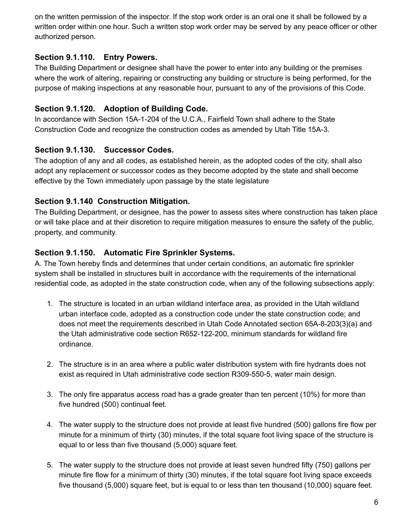on the written permission of the inspector. If the stop work order is an oral one it shall be followed by a written order within one hour. Such a written stop work order may be served by any peace officer or other authorized person.

## **Section 9.1.110. Entry Powers.**

The Building Department or designee shall have the power to enter into any building or the premises where the work of altering, repairing or constructing any building or structure is being performed, for the purpose of making inspections at any reasonable hour, pursuant to any of the provisions of this Code.

## **Section 9.1.120. Adoption of Building Code.**

In accordance with Section 15A-1-204 of the U.C.A., Fairfield Town shall adhere to the State Construction Code and recognize the construction codes as amended by Utah Title 15A-3.

## **Section 9.1.130. Successor Codes.**

The adoption of any and all codes, as established herein, as the adopted codes of the city, shall also adopt any replacement or successor codes as they become adopted by the state and shall become effective by the Town immediately upon passage by the state legislature

## **Section 9.1.140 Construction Mitigation.**

The Building Department, or designee, has the power to assess sites where construction has taken place or will take place and at their discretion to require mitigation measures to ensure the safety of the public, property, and community.

## **Section 9.1.150. Automatic Fire Sprinkler Systems.**

A. The Town hereby finds and determines that under certain conditions, an automatic fire sprinkler system shall be installed in structures built in accordance with the requirements of the international residential code, as adopted in the state construction code, when any of the following subsections apply:

- 1. The structure is located in an urban wildland interface area, as provided in the Utah wildland urban interface code, adopted as a construction code under the state construction code; and does not meet the requirements described in Utah Code Annotated section 65A-8-203(3)(a) and the Utah administrative code section R652-122-200, minimum standards for wildland fire ordinance.
- 2. The structure is in an area where a public water distribution system with fire hydrants does not exist as required in Utah administrative code section R309-550-5, water main design.
- 3. The only fire apparatus access road has a grade greater than ten percent (10%) for more than five hundred (500) continual feet.
- 4. The water supply to the structure does not provide at least five hundred (500) gallons fire flow per minute for a minimum of thirty (30) minutes, if the total square foot living space of the structure is equal to or less than five thousand (5,000) square feet.
- 5. The water supply to the structure does not provide at least seven hundred fifty (750) gallons per minute fire flow for a minimum of thirty (30) minutes, if the total square foot living space exceeds five thousand (5,000) square feet, but is equal to or less than ten thousand (10,000) square feet.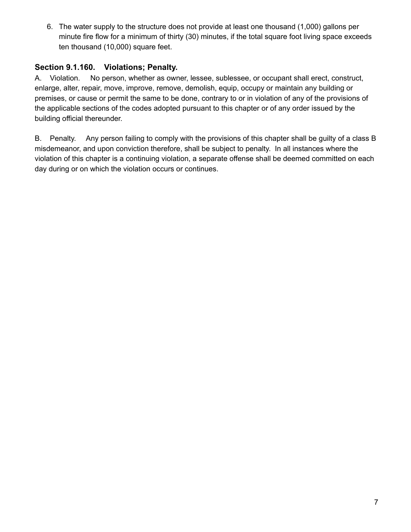6. The water supply to the structure does not provide at least one thousand (1,000) gallons per minute fire flow for a minimum of thirty (30) minutes, if the total square foot living space exceeds ten thousand (10,000) square feet.

## **Section 9.1.160. Violations; Penalty.**

A. Violation. No person, whether as owner, lessee, sublessee, or occupant shall erect, construct, enlarge, alter, repair, move, improve, remove, demolish, equip, occupy or maintain any building or premises, or cause or permit the same to be done, contrary to or in violation of any of the provisions of the applicable sections of the codes adopted pursuant to this chapter or of any order issued by the building official thereunder.

B. Penalty. Any person failing to comply with the provisions of this chapter shall be guilty of a class B misdemeanor, and upon conviction therefore, shall be subject to penalty. In all instances where the violation of this chapter is a continuing violation, a separate offense shall be deemed committed on each day during or on which the violation occurs or continues.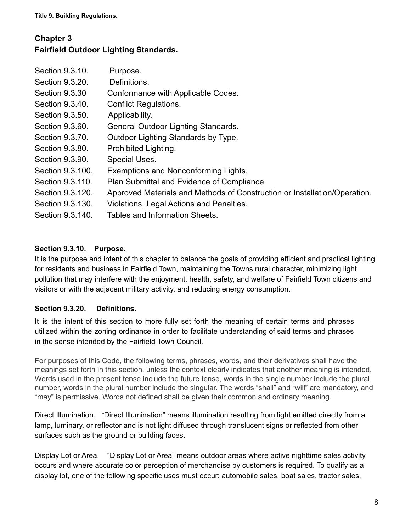## **Chapter 3 Fairfield Outdoor Lighting Standards.**

| Purpose.                                                                  |
|---------------------------------------------------------------------------|
| Definitions.                                                              |
| Conformance with Applicable Codes.                                        |
| <b>Conflict Regulations.</b>                                              |
| Applicability.                                                            |
| General Outdoor Lighting Standards.                                       |
| Outdoor Lighting Standards by Type.                                       |
| Prohibited Lighting.                                                      |
| <b>Special Uses.</b>                                                      |
| Exemptions and Nonconforming Lights.                                      |
| Plan Submittal and Evidence of Compliance.                                |
| Approved Materials and Methods of Construction or Installation/Operation. |
| Violations, Legal Actions and Penalties.                                  |
| Tables and Information Sheets.                                            |
|                                                                           |

## **Section 9.3.10. Purpose.**

It is the purpose and intent of this chapter to balance the goals of providing efficient and practical lighting for residents and business in Fairfield Town, maintaining the Towns rural character, minimizing light pollution that may interfere with the enjoyment, health, safety, and welfare of Fairfield Town citizens and visitors or with the adjacent military activity, and reducing energy consumption.

#### **Section 9.3.20. Definitions.**

It is the intent of this section to more fully set forth the meaning of certain terms and phrases utilized within the zoning ordinance in order to facilitate understanding of said terms and phrases in the sense intended by the Fairfield Town Council.

For purposes of this Code, the following terms, phrases, words, and their derivatives shall have the meanings set forth in this section, unless the context clearly indicates that another meaning is intended. Words used in the present tense include the future tense, words in the single number include the plural number, words in the plural number include the singular. The words "shall" and "will" are mandatory, and "may" is permissive. Words not defined shall be given their common and ordinary meaning.

Direct Illumination. "Direct Illumination" means illumination resulting from light emitted directly from a lamp, luminary, or reflector and is not light diffused through translucent signs or reflected from other surfaces such as the ground or building faces.

Display Lot or Area. "Display Lot or Area" means outdoor areas where active nighttime sales activity occurs and where accurate color perception of merchandise by customers is required. To qualify as a display lot, one of the following specific uses must occur: automobile sales, boat sales, tractor sales,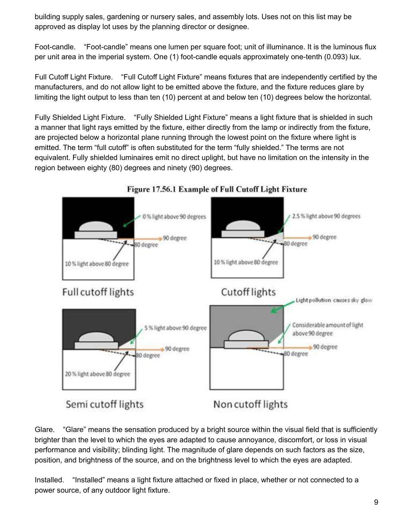building supply sales, gardening or nursery sales, and assembly lots. Uses not on this list may be approved as display lot uses by the planning director or designee.

Foot-candle. "Foot-candle" means one lumen per square foot; unit of illuminance. It is the luminous flux per unit area in the imperial system. One (1) foot-candle equals approximately one-tenth (0.093) lux.

Full Cutoff Light Fixture. "Full Cutoff Light Fixture" means fixtures that are independently certified by the manufacturers, and do not allow light to be emitted above the fixture, and the fixture reduces glare by limiting the light output to less than ten (10) percent at and below ten (10) degrees below the horizontal.

Fully Shielded Light Fixture. "Fully Shielded Light Fixture" means a light fixture that is shielded in such a manner that light rays emitted by the fixture, either directly from the lamp or indirectly from the fixture, are projected below a horizontal plane running through the lowest point on the fixture where light is emitted. The term "full cutoff" is often substituted for the term "fully shielded." The terms are not equivalent. Fully shielded luminaires emit no direct uplight, but have no limitation on the intensity in the region between eighty (80) degrees and ninety (90) degrees.



## Figure 17.56.1 Example of Full Cutoff Light Fixture

Glare. "Glare" means the sensation produced by a bright source within the visual field that is sufficiently brighter than the level to which the eyes are adapted to cause annoyance, discomfort, or loss in visual performance and visibility; blinding light. The magnitude of glare depends on such factors as the size, position, and brightness of the source, and on the brightness level to which the eyes are adapted.

Installed. "Installed" means a light fixture attached or fixed in place, whether or not connected to a power source, of any outdoor light fixture.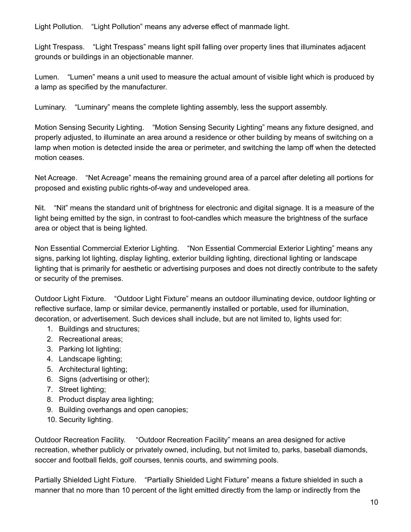Light Pollution. "Light Pollution" means any adverse effect of manmade light.

Light Trespass. "Light Trespass" means light spill falling over property lines that illuminates adjacent grounds or buildings in an objectionable manner.

Lumen. "Lumen" means a unit used to measure the actual amount of visible light which is produced by a lamp as specified by the manufacturer.

Luminary. "Luminary" means the complete lighting assembly, less the support assembly.

Motion Sensing Security Lighting. "Motion Sensing Security Lighting" means any fixture designed, and properly adjusted, to illuminate an area around a residence or other building by means of switching on a lamp when motion is detected inside the area or perimeter, and switching the lamp off when the detected motion ceases.

Net Acreage. "Net Acreage" means the remaining ground area of a parcel after deleting all portions for proposed and existing public rights-of-way and undeveloped area.

Nit. "Nit" means the standard unit of brightness for electronic and digital signage. It is a measure of the light being emitted by the sign, in contrast to foot-candles which measure the brightness of the surface area or object that is being lighted.

Non Essential Commercial Exterior Lighting. "Non Essential Commercial Exterior Lighting" means any signs, parking lot lighting, display lighting, exterior building lighting, directional lighting or landscape lighting that is primarily for aesthetic or advertising purposes and does not directly contribute to the safety or security of the premises.

Outdoor Light Fixture. "Outdoor Light Fixture" means an outdoor illuminating device, outdoor lighting or reflective surface, lamp or similar device, permanently installed or portable, used for illumination, decoration, or advertisement. Such devices shall include, but are not limited to, lights used for:

- 1. Buildings and structures;
- 2. Recreational areas;
- 3. Parking lot lighting;
- 4. Landscape lighting;
- 5. Architectural lighting;
- 6. Signs (advertising or other);
- 7. Street lighting;
- 8. Product display area lighting;
- 9. Building overhangs and open canopies;
- 10. Security lighting.

Outdoor Recreation Facility. "Outdoor Recreation Facility" means an area designed for active recreation, whether publicly or privately owned, including, but not limited to, parks, baseball diamonds, soccer and football fields, golf courses, tennis courts, and swimming pools.

Partially Shielded Light Fixture. "Partially Shielded Light Fixture" means a fixture shielded in such a manner that no more than 10 percent of the light emitted directly from the lamp or indirectly from the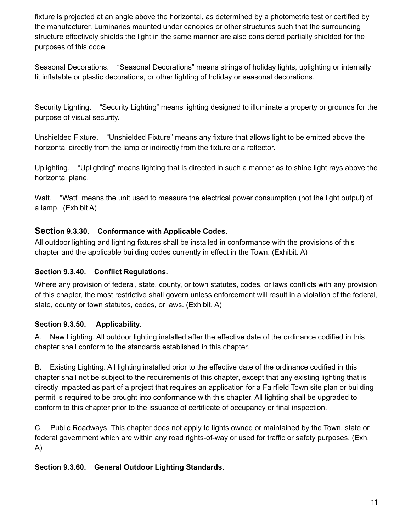fixture is projected at an angle above the horizontal, as determined by a photometric test or certified by the manufacturer. Luminaries mounted under canopies or other structures such that the surrounding structure effectively shields the light in the same manner are also considered partially shielded for the purposes of this code.

Seasonal Decorations. "Seasonal Decorations" means strings of holiday lights, uplighting or internally lit inflatable or plastic decorations, or other lighting of holiday or seasonal decorations.

Security Lighting. "Security Lighting" means lighting designed to illuminate a property or grounds for the purpose of visual security.

Unshielded Fixture. "Unshielded Fixture" means any fixture that allows light to be emitted above the horizontal directly from the lamp or indirectly from the fixture or a reflector.

Uplighting. "Uplighting" means lighting that is directed in such a manner as to shine light rays above the horizontal plane.

Watt. "Watt" means the unit used to measure the electrical power consumption (not the light output) of a lamp. (Exhibit A)

#### **Section 9.3.30. Conformance with Applicable Codes.**

All outdoor lighting and lighting fixtures shall be installed in conformance with the provisions of this chapter and the applicable building codes currently in effect in the Town. (Exhibit. A)

#### **Section 9.3.40. Conflict Regulations.**

Where any provision of federal, state, county, or town statutes, codes, or laws conflicts with any provision of this chapter, the most restrictive shall govern unless enforcement will result in a violation of the federal, state, county or town statutes, codes, or laws. (Exhibit. A)

## **Section 9.3.50. Applicability.**

A. New Lighting. All outdoor lighting installed after the effective date of the ordinance codified in this chapter shall conform to the standards established in this chapter.

B. Existing Lighting. All lighting installed prior to the effective date of the ordinance codified in this chapter shall not be subject to the requirements of this chapter, except that any existing lighting that is directly impacted as part of a project that requires an application for a Fairfield Town site plan or building permit is required to be brought into conformance with this chapter. All lighting shall be upgraded to conform to this chapter prior to the issuance of certificate of occupancy or final inspection.

C. Public Roadways. This chapter does not apply to lights owned or maintained by the Town, state or federal government which are within any road rights-of-way or used for traffic or safety purposes. (Exh. A)

#### **Section 9.3.60. General Outdoor Lighting Standards.**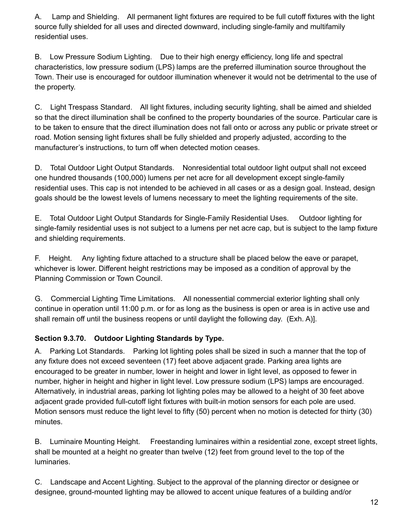A. Lamp and Shielding. All permanent light fixtures are required to be full cutoff fixtures with the light source fully shielded for all uses and directed downward, including single-family and multifamily residential uses.

B. Low Pressure Sodium Lighting. Due to their high energy efficiency, long life and spectral characteristics, low pressure sodium (LPS) lamps are the preferred illumination source throughout the Town. Their use is encouraged for outdoor illumination whenever it would not be detrimental to the use of the property.

C. Light Trespass Standard. All light fixtures, including security lighting, shall be aimed and shielded so that the direct illumination shall be confined to the property boundaries of the source. Particular care is to be taken to ensure that the direct illumination does not fall onto or across any public or private street or road. Motion sensing light fixtures shall be fully shielded and properly adjusted, according to the manufacturer's instructions, to turn off when detected motion ceases.

D. Total Outdoor Light Output Standards. Nonresidential total outdoor light output shall not exceed one hundred thousands (100,000) lumens per net acre for all development except single-family residential uses. This cap is not intended to be achieved in all cases or as a design goal. Instead, design goals should be the lowest levels of lumens necessary to meet the lighting requirements of the site.

E. Total Outdoor Light Output Standards for Single-Family Residential Uses. Outdoor lighting for single-family residential uses is not subject to a lumens per net acre cap, but is subject to the lamp fixture and shielding requirements.

F. Height. Any lighting fixture attached to a structure shall be placed below the eave or parapet, whichever is lower. Different height restrictions may be imposed as a condition of approval by the Planning Commission or Town Council.

G. Commercial Lighting Time Limitations. All nonessential commercial exterior lighting shall only continue in operation until 11:00 p.m. or for as long as the business is open or area is in active use and shall remain off until the business reopens or until daylight the following day. (Exh. A)].

## **Section 9.3.70. Outdoor Lighting Standards by Type.**

A. Parking Lot Standards. Parking lot lighting poles shall be sized in such a manner that the top of any fixture does not exceed seventeen (17) feet above adjacent grade. Parking area lights are encouraged to be greater in number, lower in height and lower in light level, as opposed to fewer in number, higher in height and higher in light level. Low pressure sodium (LPS) lamps are encouraged. Alternatively, in industrial areas, parking lot lighting poles may be allowed to a height of 30 feet above adjacent grade provided full-cutoff light fixtures with built-in motion sensors for each pole are used. Motion sensors must reduce the light level to fifty (50) percent when no motion is detected for thirty (30) minutes.

B. Luminaire Mounting Height. Freestanding luminaires within a residential zone, except street lights, shall be mounted at a height no greater than twelve (12) feet from ground level to the top of the luminaries.

C. Landscape and Accent Lighting. Subject to the approval of the planning director or designee or designee, ground-mounted lighting may be allowed to accent unique features of a building and/or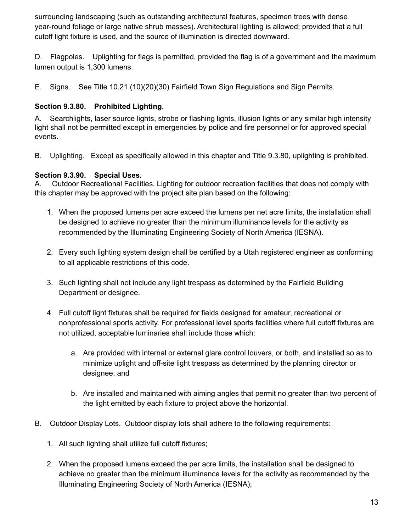surrounding landscaping (such as outstanding architectural features, specimen trees with dense year-round foliage or large native shrub masses). Architectural lighting is allowed; provided that a full cutoff light fixture is used, and the source of illumination is directed downward.

D. Flagpoles. Uplighting for flags is permitted, provided the flag is of a government and the maximum lumen output is 1,300 lumens.

E. Signs. See Title 10.21.(10)(20)(30) Fairfield Town Sign Regulations and Sign Permits.

#### **Section 9.3.80. Prohibited Lighting.**

A. Searchlights, laser source lights, strobe or flashing lights, illusion lights or any similar high intensity light shall not be permitted except in emergencies by police and fire personnel or for approved special events.

B. Uplighting. Except as specifically allowed in this chapter and Title 9.3.80, uplighting is prohibited.

#### **Section 9.3.90. Special Uses.**

A. Outdoor Recreational Facilities. Lighting for outdoor recreation facilities that does not comply with this chapter may be approved with the project site plan based on the following:

- 1. When the proposed lumens per acre exceed the lumens per net acre limits, the installation shall be designed to achieve no greater than the minimum illuminance levels for the activity as recommended by the Illuminating Engineering Society of North America (IESNA).
- 2. Every such lighting system design shall be certified by a Utah registered engineer as conforming to all applicable restrictions of this code.
- 3. Such lighting shall not include any light trespass as determined by the Fairfield Building Department or designee.
- 4. Full cutoff light fixtures shall be required for fields designed for amateur, recreational or nonprofessional sports activity. For professional level sports facilities where full cutoff fixtures are not utilized, acceptable luminaries shall include those which:
	- a. Are provided with internal or external glare control louvers, or both, and installed so as to minimize uplight and off-site light trespass as determined by the planning director or designee; and
	- b. Are installed and maintained with aiming angles that permit no greater than two percent of the light emitted by each fixture to project above the horizontal.
- B. Outdoor Display Lots. Outdoor display lots shall adhere to the following requirements:
	- 1. All such lighting shall utilize full cutoff fixtures;
	- 2. When the proposed lumens exceed the per acre limits, the installation shall be designed to achieve no greater than the minimum illuminance levels for the activity as recommended by the Illuminating Engineering Society of North America (IESNA);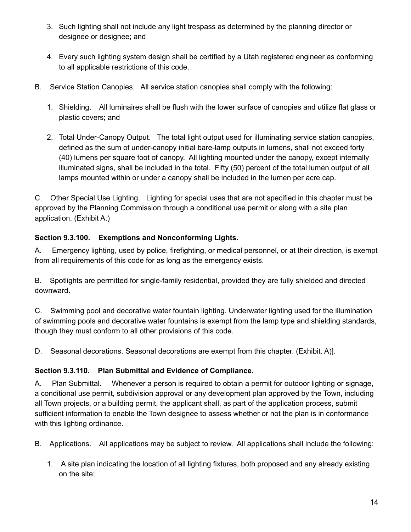- 3. Such lighting shall not include any light trespass as determined by the planning director or designee or designee; and
- 4. Every such lighting system design shall be certified by a Utah registered engineer as conforming to all applicable restrictions of this code.
- B. Service Station Canopies. All service station canopies shall comply with the following:
	- 1. Shielding. All luminaires shall be flush with the lower surface of canopies and utilize flat glass or plastic covers; and
	- 2. Total Under-Canopy Output. The total light output used for illuminating service station canopies, defined as the sum of under-canopy initial bare-lamp outputs in lumens, shall not exceed forty (40) lumens per square foot of canopy. All lighting mounted under the canopy, except internally illuminated signs, shall be included in the total. Fifty (50) percent of the total lumen output of all lamps mounted within or under a canopy shall be included in the lumen per acre cap.

C. Other Special Use Lighting. Lighting for special uses that are not specified in this chapter must be approved by the Planning Commission through a conditional use permit or along with a site plan application. (Exhibit A.)

## **Section 9.3.100. Exemptions and Nonconforming Lights.**

A. Emergency lighting, used by police, firefighting, or medical personnel, or at their direction, is exempt from all requirements of this code for as long as the emergency exists.

B. Spotlights are permitted for single-family residential, provided they are fully shielded and directed downward.

C. Swimming pool and decorative water fountain lighting. Underwater lighting used for the illumination of swimming pools and decorative water fountains is exempt from the lamp type and shielding standards, though they must conform to all other provisions of this code.

D. Seasonal decorations. Seasonal decorations are exempt from this chapter. (Exhibit. A)].

## **Section 9.3.110. Plan Submittal and Evidence of Compliance.**

A. Plan Submittal. Whenever a person is required to obtain a permit for outdoor lighting or signage, a conditional use permit, subdivision approval or any development plan approved by the Town, including all Town projects, or a building permit, the applicant shall, as part of the application process, submit sufficient information to enable the Town designee to assess whether or not the plan is in conformance with this lighting ordinance.

B. Applications. All applications may be subject to review. All applications shall include the following:

1. A site plan indicating the location of all lighting fixtures, both proposed and any already existing on the site;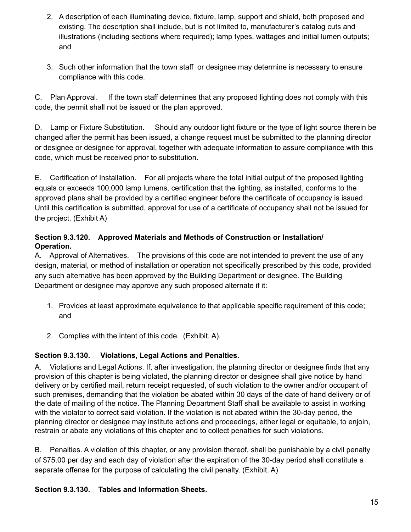- 2. A description of each illuminating device, fixture, lamp, support and shield, both proposed and existing. The description shall include, but is not limited to, manufacturer's catalog cuts and illustrations (including sections where required); lamp types, wattages and initial lumen outputs; and
- 3. Such other information that the town staff or designee may determine is necessary to ensure compliance with this code.

C. Plan Approval. If the town staff determines that any proposed lighting does not comply with this code, the permit shall not be issued or the plan approved.

D. Lamp or Fixture Substitution. Should any outdoor light fixture or the type of light source therein be changed after the permit has been issued, a change request must be submitted to the planning director or designee or designee for approval, together with adequate information to assure compliance with this code, which must be received prior to substitution.

E. Certification of Installation. For all projects where the total initial output of the proposed lighting equals or exceeds 100,000 lamp lumens, certification that the lighting, as installed, conforms to the approved plans shall be provided by a certified engineer before the certificate of occupancy is issued. Until this certification is submitted, approval for use of a certificate of occupancy shall not be issued for the project. (Exhibit A)

#### **Section 9.3.120. Approved Materials and Methods of Construction or Installation/ Operation.**

A. Approval of Alternatives. The provisions of this code are not intended to prevent the use of any design, material, or method of installation or operation not specifically prescribed by this code, provided any such alternative has been approved by the Building Department or designee. The Building Department or designee may approve any such proposed alternate if it:

- 1. Provides at least approximate equivalence to that applicable specific requirement of this code; and
- 2. Complies with the intent of this code. (Exhibit. A).

#### **Section 9.3.130. Violations, Legal Actions and Penalties.**

A. Violations and Legal Actions. If, after investigation, the planning director or designee finds that any provision of this chapter is being violated, the planning director or designee shall give notice by hand delivery or by certified mail, return receipt requested, of such violation to the owner and/or occupant of such premises, demanding that the violation be abated within 30 days of the date of hand delivery or of the date of mailing of the notice. The Planning Department Staff shall be available to assist in working with the violator to correct said violation. If the violation is not abated within the 30-day period, the planning director or designee may institute actions and proceedings, either legal or equitable, to enjoin, restrain or abate any violations of this chapter and to collect penalties for such violations.

B. Penalties. A violation of this chapter, or any provision thereof, shall be punishable by a civil penalty of \$75.00 per day and each day of violation after the expiration of the 30-day period shall constitute a separate offense for the purpose of calculating the civil penalty. (Exhibit. A)

#### **Section 9.3.130. Tables and Information Sheets.**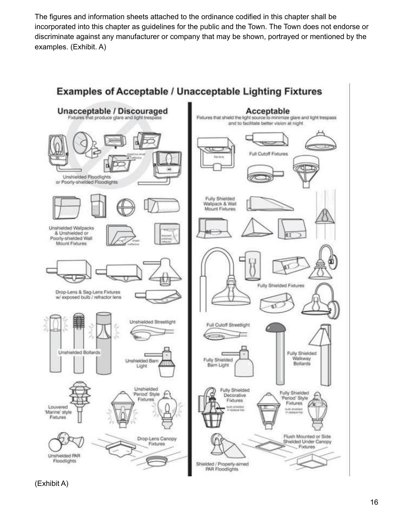The figures and information sheets attached to the ordinance codified in this chapter shall be incorporated into this chapter as guidelines for the public and the Town. The Town does not endorse or discriminate against any manufacturer or company that may be shown, portrayed or mentioned by the examples. (Exhibit. A)



**Examples of Acceptable / Unacceptable Lighting Fixtures** 

(Exhibit A)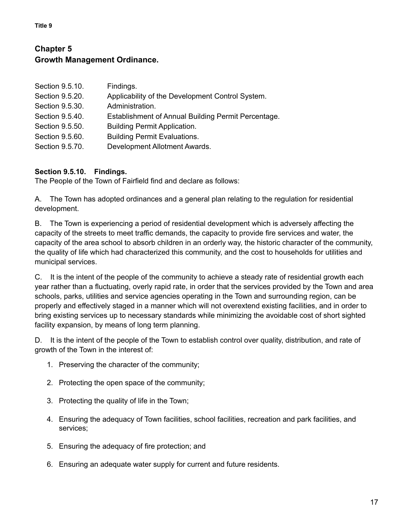### **Chapter 5 Growth Management Ordinance.**

| Findings.                                           |
|-----------------------------------------------------|
| Applicability of the Development Control System.    |
| Administration.                                     |
| Establishment of Annual Building Permit Percentage. |
| <b>Building Permit Application.</b>                 |
| <b>Building Permit Evaluations.</b>                 |
| Development Allotment Awards.                       |
|                                                     |

#### **Section 9.5.10. Findings.**

The People of the Town of Fairfield find and declare as follows:

A. The Town has adopted ordinances and a general plan relating to the regulation for residential development.

B. The Town is experiencing a period of residential development which is adversely affecting the capacity of the streets to meet traffic demands, the capacity to provide fire services and water, the capacity of the area school to absorb children in an orderly way, the historic character of the community, the quality of life which had characterized this community, and the cost to households for utilities and municipal services.

C. It is the intent of the people of the community to achieve a steady rate of residential growth each year rather than a fluctuating, overly rapid rate, in order that the services provided by the Town and area schools, parks, utilities and service agencies operating in the Town and surrounding region, can be properly and effectively staged in a manner which will not overextend existing facilities, and in order to bring existing services up to necessary standards while minimizing the avoidable cost of short sighted facility expansion, by means of long term planning.

D. It is the intent of the people of the Town to establish control over quality, distribution, and rate of growth of the Town in the interest of:

- 1. Preserving the character of the community;
- 2. Protecting the open space of the community;
- 3. Protecting the quality of life in the Town;
- 4. Ensuring the adequacy of Town facilities, school facilities, recreation and park facilities, and services;
- 5. Ensuring the adequacy of fire protection; and
- 6. Ensuring an adequate water supply for current and future residents.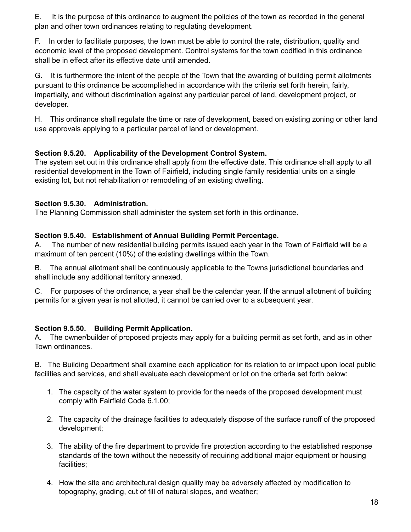E. It is the purpose of this ordinance to augment the policies of the town as recorded in the general plan and other town ordinances relating to regulating development.

F. In order to facilitate purposes, the town must be able to control the rate, distribution, quality and economic level of the proposed development. Control systems for the town codified in this ordinance shall be in effect after its effective date until amended.

G. It is furthermore the intent of the people of the Town that the awarding of building permit allotments pursuant to this ordinance be accomplished in accordance with the criteria set forth herein, fairly, impartially, and without discrimination against any particular parcel of land, development project, or developer.

H. This ordinance shall regulate the time or rate of development, based on existing zoning or other land use approvals applying to a particular parcel of land or development.

#### **Section 9.5.20. Applicability of the Development Control System.**

The system set out in this ordinance shall apply from the effective date. This ordinance shall apply to all residential development in the Town of Fairfield, including single family residential units on a single existing lot, but not rehabilitation or remodeling of an existing dwelling.

#### **Section 9.5.30. Administration.**

The Planning Commission shall administer the system set forth in this ordinance.

#### **Section 9.5.40. Establishment of Annual Building Permit Percentage.**

A. The number of new residential building permits issued each year in the Town of Fairfield will be a maximum of ten percent (10%) of the existing dwellings within the Town.

B. The annual allotment shall be continuously applicable to the Towns jurisdictional boundaries and shall include any additional territory annexed.

C. For purposes of the ordinance, a year shall be the calendar year. If the annual allotment of building permits for a given year is not allotted, it cannot be carried over to a subsequent year.

#### **Section 9.5.50. Building Permit Application.**

A. The owner/builder of proposed projects may apply for a building permit as set forth, and as in other Town ordinances.

B. The Building Department shall examine each application for its relation to or impact upon local public facilities and services, and shall evaluate each development or lot on the criteria set forth below:

- 1. The capacity of the water system to provide for the needs of the proposed development must comply with Fairfield Code 6.1.00;
- 2. The capacity of the drainage facilities to adequately dispose of the surface runoff of the proposed development;
- 3. The ability of the fire department to provide fire protection according to the established response standards of the town without the necessity of requiring additional major equipment or housing facilities;
- 4. How the site and architectural design quality may be adversely affected by modification to topography, grading, cut of fill of natural slopes, and weather;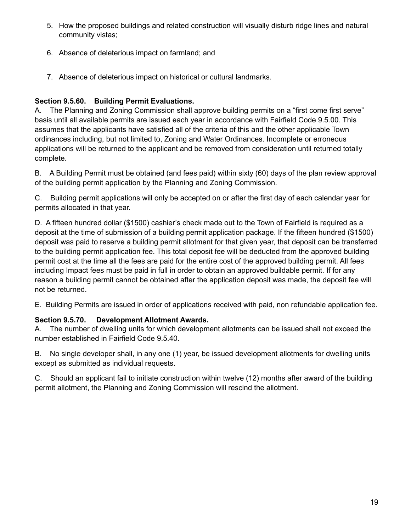- 5. How the proposed buildings and related construction will visually disturb ridge lines and natural community vistas;
- 6. Absence of deleterious impact on farmland; and
- 7. Absence of deleterious impact on historical or cultural landmarks.

#### **Section 9.5.60. Building Permit Evaluations.**

A. The Planning and Zoning Commission shall approve building permits on a "first come first serve" basis until all available permits are issued each year in accordance with Fairfield Code 9.5.00. This assumes that the applicants have satisfied all of the criteria of this and the other applicable Town ordinances including, but not limited to, Zoning and Water Ordinances. Incomplete or erroneous applications will be returned to the applicant and be removed from consideration until returned totally complete.

B. A Building Permit must be obtained (and fees paid) within sixty (60) days of the plan review approval of the building permit application by the Planning and Zoning Commission.

C. Building permit applications will only be accepted on or after the first day of each calendar year for permits allocated in that year.

D. A fifteen hundred dollar (\$1500) cashier's check made out to the Town of Fairfield is required as a deposit at the time of submission of a building permit application package. If the fifteen hundred (\$1500) deposit was paid to reserve a building permit allotment for that given year, that deposit can be transferred to the building permit application fee. This total deposit fee will be deducted from the approved building permit cost at the time all the fees are paid for the entire cost of the approved building permit. All fees including Impact fees must be paid in full in order to obtain an approved buildable permit. If for any reason a building permit cannot be obtained after the application deposit was made, the deposit fee will not be returned.

E. Building Permits are issued in order of applications received with paid, non refundable application fee.

#### **Section 9.5.70. Development Allotment Awards.**

A. The number of dwelling units for which development allotments can be issued shall not exceed the number established in Fairfield Code 9.5.40.

B. No single developer shall, in any one (1) year, be issued development allotments for dwelling units except as submitted as individual requests.

C. Should an applicant fail to initiate construction within twelve (12) months after award of the building permit allotment, the Planning and Zoning Commission will rescind the allotment.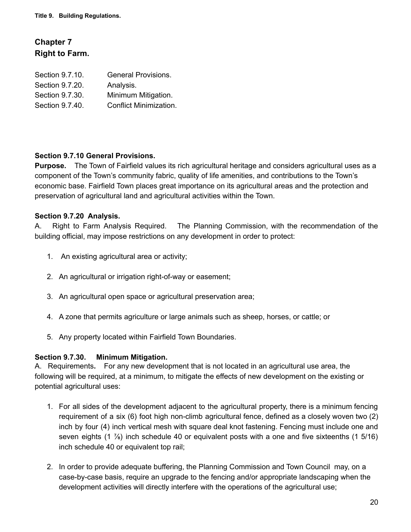## **Chapter 7 Right to Farm.**

| <b>General Provisions.</b> |
|----------------------------|
| Analysis.                  |
| Minimum Mitigation.        |
| Conflict Minimization.     |
|                            |

#### **Section 9.7.10 General Provisions.**

**Purpose.** The Town of Fairfield values its rich agricultural heritage and considers agricultural uses as a component of the Town's community fabric, quality of life amenities, and contributions to the Town's economic base. Fairfield Town places great importance on its agricultural areas and the protection and preservation of agricultural land and agricultural activities within the Town.

#### **Section 9.7.20 Analysis.**

A. Right to Farm Analysis Required. The Planning Commission, with the recommendation of the building official, may impose restrictions on any development in order to protect:

- 1. An existing agricultural area or activity;
- 2. An agricultural or irrigation right-of-way or easement;
- 3. An agricultural open space or agricultural preservation area;
- 4. A zone that permits agriculture or large animals such as sheep, horses, or cattle; or
- 5. Any property located within Fairfield Town Boundaries.

#### **Section 9.7.30. Minimum Mitigation.**

A. Requirements**.** For any new development that is not located in an agricultural use area, the following will be required, at a minimum, to mitigate the effects of new development on the existing or potential agricultural uses:

- 1. For all sides of the development adjacent to the agricultural property, there is a minimum fencing requirement of a six (6) foot high non-climb agricultural fence, defined as a closely woven two (2) inch by four (4) inch vertical mesh with square deal knot fastening. Fencing must include one and seven eights  $(1\frac{7}{8})$  inch schedule 40 or equivalent posts with a one and five sixteenths  $(1\frac{5}{16})$ inch schedule 40 or equivalent top rail;
- 2. In order to provide adequate buffering, the Planning Commission and Town Council may, on a case-by-case basis, require an upgrade to the fencing and/or appropriate landscaping when the development activities will directly interfere with the operations of the agricultural use;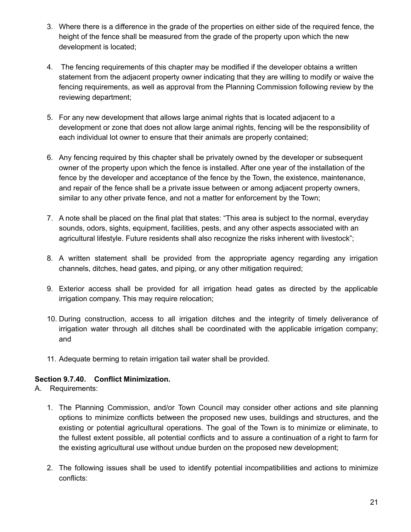- 3. Where there is a difference in the grade of the properties on either side of the required fence, the height of the fence shall be measured from the grade of the property upon which the new development is located;
- 4. The fencing requirements of this chapter may be modified if the developer obtains a written statement from the adjacent property owner indicating that they are willing to modify or waive the fencing requirements, as well as approval from the Planning Commission following review by the reviewing department;
- 5. For any new development that allows large animal rights that is located adjacent to a development or zone that does not allow large animal rights, fencing will be the responsibility of each individual lot owner to ensure that their animals are properly contained;
- 6. Any fencing required by this chapter shall be privately owned by the developer or subsequent owner of the property upon which the fence is installed. After one year of the installation of the fence by the developer and acceptance of the fence by the Town, the existence, maintenance, and repair of the fence shall be a private issue between or among adjacent property owners, similar to any other private fence, and not a matter for enforcement by the Town;
- 7. A note shall be placed on the final plat that states: "This area is subject to the normal, everyday sounds, odors, sights, equipment, facilities, pests, and any other aspects associated with an agricultural lifestyle. Future residents shall also recognize the risks inherent with livestock";
- 8. A written statement shall be provided from the appropriate agency regarding any irrigation channels, ditches, head gates, and piping, or any other mitigation required;
- 9. Exterior access shall be provided for all irrigation head gates as directed by the applicable irrigation company. This may require relocation;
- 10. During construction, access to all irrigation ditches and the integrity of timely deliverance of irrigation water through all ditches shall be coordinated with the applicable irrigation company; and
- 11. Adequate berming to retain irrigation tail water shall be provided.

#### **Section 9.7.40. Conflict Minimization.**

A. Requirements:

- 1. The Planning Commission, and/or Town Council may consider other actions and site planning options to minimize conflicts between the proposed new uses, buildings and structures, and the existing or potential agricultural operations. The goal of the Town is to minimize or eliminate, to the fullest extent possible, all potential conflicts and to assure a continuation of a right to farm for the existing agricultural use without undue burden on the proposed new development;
- 2. The following issues shall be used to identify potential incompatibilities and actions to minimize conflicts: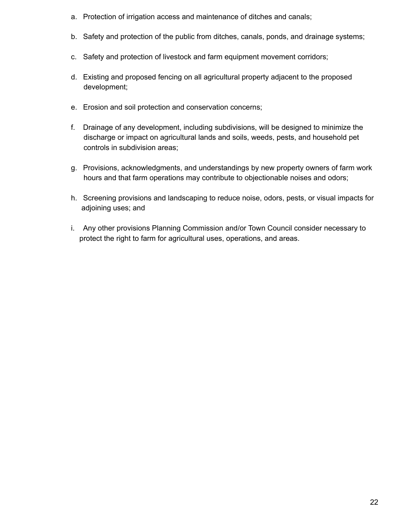- a. Protection of irrigation access and maintenance of ditches and canals;
- b. Safety and protection of the public from ditches, canals, ponds, and drainage systems;
- c. Safety and protection of livestock and farm equipment movement corridors;
- d. Existing and proposed fencing on all agricultural property adjacent to the proposed development;
- e. Erosion and soil protection and conservation concerns;
- f. Drainage of any development, including subdivisions, will be designed to minimize the discharge or impact on agricultural lands and soils, weeds, pests, and household pet controls in subdivision areas;
- g. Provisions, acknowledgments, and understandings by new property owners of farm work hours and that farm operations may contribute to objectionable noises and odors;
- h. Screening provisions and landscaping to reduce noise, odors, pests, or visual impacts for adjoining uses; and
- i. Any other provisions Planning Commission and/or Town Council consider necessary to protect the right to farm for agricultural uses, operations, and areas.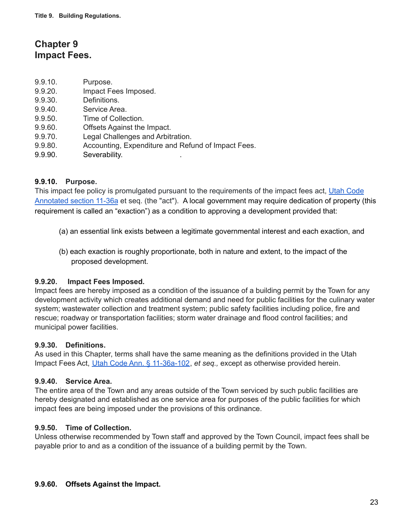## **Chapter 9 Impact Fees.**

- 9.9.10. Purpose.
- 9.9.20. Impact Fees Imposed.
- 9.9.30. Definitions.
- 9.9.40. Service Area.
- 9.9.50. Time of Collection.
- 9.9.60. Offsets Against the Impact.
- 9.9.70. Legal Challenges and Arbitration.
- 9.9.80. Accounting, Expenditure and Refund of Impact Fees.
- 9.9.90. Severability.

#### **9.9.10. Purpose.**

This impact fee policy is promulgated pursuant to the requirements of the impact fees act, Utah [Code](https://le.utah.gov/xcode/Title11/Chapter36A/11-36a.html) [Annotated](https://le.utah.gov/xcode/Title11/Chapter36A/11-36a.html) section 11-36a et seq. (the "act"). A local government may require dedication of property (this requirement is called an "exaction") as a condition to approving a development provided that:

- (a) an essential link exists between a legitimate governmental interest and each exaction, and
- (b) each exaction is roughly proportionate, both in nature and extent, to the impact of the proposed development.

#### **9.9.20. Impact Fees Imposed.**

Impact fees are hereby imposed as a condition of the issuance of a building permit by the Town for any development activity which creates additional demand and need for public facilities for the culinary water system; wastewater collection and treatment system; public safety facilities including police, fire and rescue; roadway or transportation facilities; storm water drainage and flood control facilities; and municipal power facilities.

#### **9.9.30. Definitions.**

As used in this Chapter, terms shall have the same meaning as the definitions provided in the Utah Impact Fees Act, Utah Code Ann. § [11-36a-102](https://le.utah.gov/xcode/Title11/Chapter36A/11-36a-S102.html), *et seq.,* except as otherwise provided herein.

#### **9.9.40. Service Area.**

The entire area of the Town and any areas outside of the Town serviced by such public facilities are hereby designated and established as one service area for purposes of the public facilities for which impact fees are being imposed under the provisions of this ordinance.

#### **9.9.50. Time of Collection.**

Unless otherwise recommended by Town staff and approved by the Town Council, impact fees shall be payable prior to and as a condition of the issuance of a building permit by the Town.

#### **9.9.60. Offsets Against the Impact.**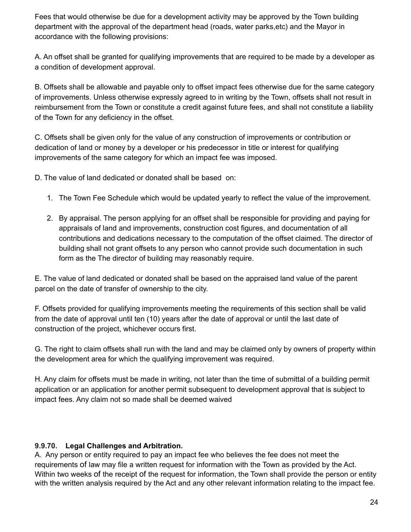Fees that would otherwise be due for a development activity may be approved by the Town building department with the approval of the department head (roads, water parks,etc) and the Mayor in accordance with the following provisions:

A. An offset shall be granted for qualifying improvements that are required to be made by a developer as a condition of development approval.

B. Offsets shall be allowable and payable only to offset impact fees otherwise due for the same category of improvements. Unless otherwise expressly agreed to in writing by the Town, offsets shall not result in reimbursement from the Town or constitute a credit against future fees, and shall not constitute a liability of the Town for any deficiency in the offset.

C. Offsets shall be given only for the value of any construction of improvements or contribution or dedication of land or money by a developer or his predecessor in title or interest for qualifying improvements of the same category for which an impact fee was imposed.

D. The value of land dedicated or donated shall be based on:

- 1. The Town Fee Schedule which would be updated yearly to reflect the value of the improvement.
- 2. By appraisal. The person applying for an offset shall be responsible for providing and paying for appraisals of land and improvements, construction cost figures, and documentation of all contributions and dedications necessary to the computation of the offset claimed. The director of building shall not grant offsets to any person who cannot provide such documentation in such form as the The director of building may reasonably require.

E. The value of land dedicated or donated shall be based on the appraised land value of the parent parcel on the date of transfer of ownership to the city.

F. Offsets provided for qualifying improvements meeting the requirements of this section shall be valid from the date of approval until ten (10) years after the date of approval or until the last date of construction of the project, whichever occurs first.

G. The right to claim offsets shall run with the land and may be claimed only by owners of property within the development area for which the qualifying improvement was required.

H. Any claim for offsets must be made in writing, not later than the time of submittal of a building permit application or an application for another permit subsequent to development approval that is subject to impact fees. Any claim not so made shall be deemed waived

#### **9.9.70. Legal Challenges and Arbitration.**

A. Any person or entity required to pay an impact fee who believes the fee does not meet the requirements of law may file a written request for information with the Town as provided by the Act. Within two weeks of the receipt of the request for information, the Town shall provide the person or entity with the written analysis required by the Act and any other relevant information relating to the impact fee.